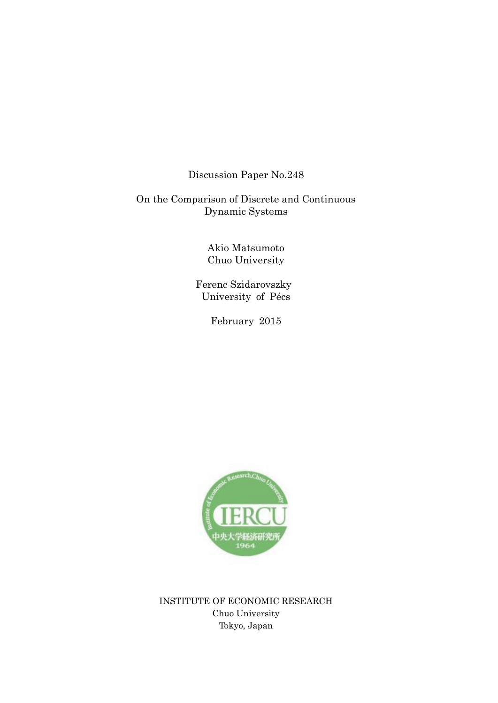Discussion Paper No.248

On the Comparison of Discrete and Continuous Dynamic Systems

> Akio Matsumoto Chuo University

 Ferenc Szidarovszky University of Pécs

February 2015



INSTITUTE OF ECONOMIC RESEARCH Chuo University Tokyo, Japan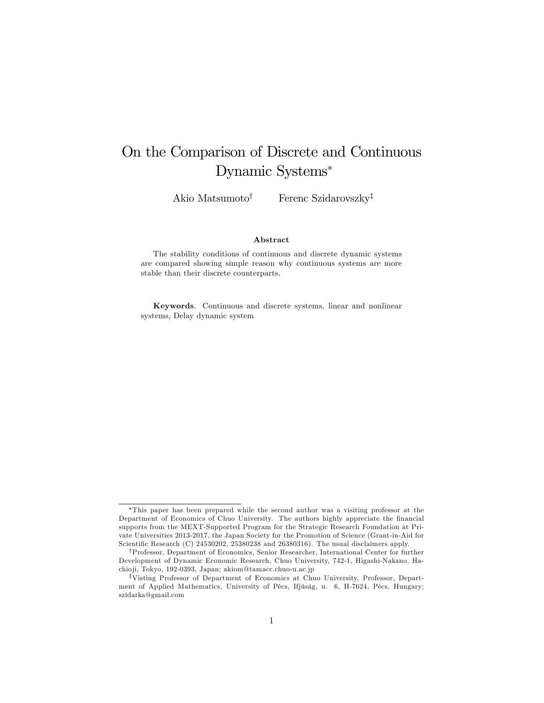# On the Comparison of Discrete and Continuous Dynamic Systems

Akio Matsumoto<br/>† Ferenc Szidarovszky‡

#### Abstract

The stability conditions of continuous and discrete dynamic systems are compared showing simple reason why continuous systems are more stable than their discrete counterparts.

Keywords. Continuous and discrete systems, linear and nonlinear systems, Delay dynamic system

This paper has been prepared while the second author was a visiting professor at the Department of Economics of Chuo University. The authors highly appreciate the financial supports from the MEXT-Supported Program for the Strategic Research Foundation at Private Universities 2013-2017, the Japan Society for the Promotion of Science (Grant-in-Aid for Scientific Research (C) 24530202, 25380238 and 26380316). The usual disclaimers apply.

<sup>&</sup>lt;sup>†</sup>Professor, Department of Economics, Senior Researcher, International Center for further Development of Dynamic Economic Research, Chuo University, 742-1, Higashi-Nakano, Hachio ji, Tokyo, 192-0393, Japan; akiom@tamacc.chuo-u.ac.jp

<sup>&</sup>lt;sup>‡</sup>Visting Professor of Department of Economics at Chuo University, Professor, Department of Applied Mathematics, University of Pécs, Ifjúság, u. 6, H-7624, Pécs, Hungary; szidarka@gmail.com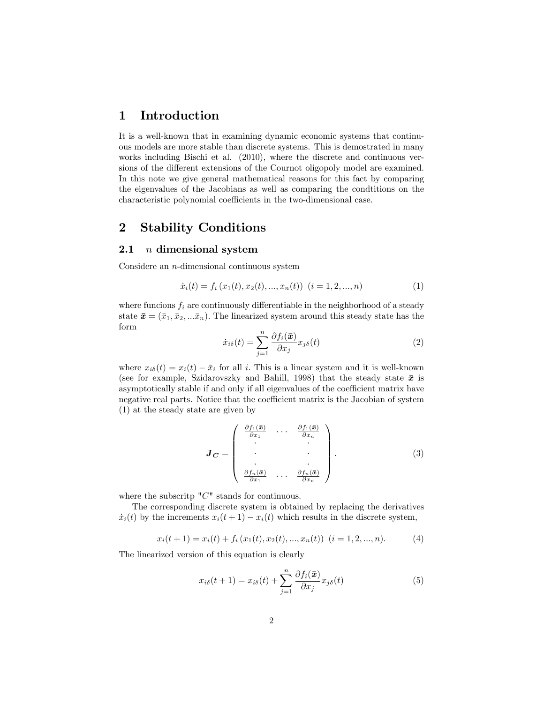# 1 Introduction

It is a well-known that in examining dynamic economic systems that continuous models are more stable than discrete systems. This is demostrated in many works including Bischi et al. (2010), where the discrete and continuous versions of the different extensions of the Cournot oligopoly model are examined. In this note we give general mathematical reasons for this fact by comparing the eigenvalues of the Jacobians as well as comparing the condtitions on the characteristic polynomial coefficients in the two-dimensional case.

# 2 Stability Conditions

### 2.1  $n$  dimensional system

Considere an n-dimensional continuous system

$$
\dot{x}_i(t) = f_i(x_1(t), x_2(t), \dots, x_n(t)) \quad (i = 1, 2, \dots, n)
$$
\n(1)

where funcions  $f_i$  are continuously differentiable in the neighborhood of a steady state  $\bar{x} = (\bar{x}_1, \bar{x}_2, \dots, \bar{x}_n)$ . The linearized system around this steady state has the form

$$
\dot{x}_{i\delta}(t) = \sum_{j=1}^{n} \frac{\partial f_i(\bar{x})}{\partial x_j} x_{j\delta}(t)
$$
\n(2)

where  $x_{i\delta}(t) = x_i(t) - \bar{x}_i$  for all i. This is a linear system and it is well-known (see for example, Szidarovszky and Bahill, 1998) that the steady state  $\bar{x}$  is asymptotically stable if and only if all eigenvalues of the coefficient matrix have negative real parts. Notice that the coefficient matrix is the Jacobian of system (1) at the steady state are given by

$$
\mathbf{J}_{\mathbf{C}} = \begin{pmatrix} \frac{\partial f_1(\bar{\mathbf{x}})}{\partial x_1} & \cdots & \frac{\partial f_1(\bar{\mathbf{x}})}{\partial x_n} \\ \vdots & \vdots & \ddots \\ \frac{\partial f_n(\bar{\mathbf{x}})}{\partial x_1} & \cdots & \frac{\partial f_n(\bar{\mathbf{x}})}{\partial x_n} \end{pmatrix} . \tag{3}
$$

where the subscritp  $C^{\prime\prime}$  stands for continuous.

The corresponding discrete system is obtained by replacing the derivatives  $\dot{x}_i(t)$  by the increments  $x_i(t + 1) - x_i(t)$  which results in the discrete system,

 $x_i(t + 1) = x_i(t) + f_i(x_1(t), x_2(t), ..., x_n(t))$   $(i = 1, 2, ..., n).$  (4)

The linearized version of this equation is clearly

$$
x_{i\delta}(t+1) = x_{i\delta}(t) + \sum_{j=1}^{n} \frac{\partial f_i(\bar{x})}{\partial x_j} x_{j\delta}(t)
$$
(5)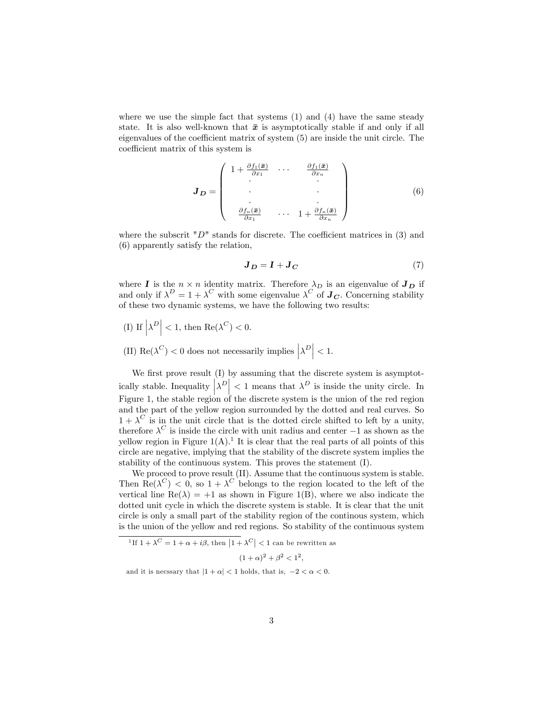where we use the simple fact that systems  $(1)$  and  $(4)$  have the same steady state. It is also well-known that  $\bar{x}$  is asymptotically stable if and only if all eigenvalues of the coefficient matrix of system  $(5)$  are inside the unit circle. The coefficient matrix of this system is

$$
\boldsymbol{J}_{\boldsymbol{D}} = \begin{pmatrix} 1 + \frac{\partial f_1(\boldsymbol{\bar{x}})}{\partial x_1} & \cdots & \frac{\partial f_1(\boldsymbol{\bar{x}})}{\partial x_n} \\ \vdots & \vdots & \ddots \\ \frac{\partial f_n(\boldsymbol{\bar{x}})}{\partial x_1} & \cdots & 1 + \frac{\partial f_n(\boldsymbol{\bar{x}})}{\partial x_n} \end{pmatrix}
$$
(6)

where the subscrit " $D$ " stands for discrete. The coefficient matrices in (3) and (6) apparently satisfy the relation,

$$
\boldsymbol{J}_D = \boldsymbol{I} + \boldsymbol{J}_C \tag{7}
$$

where **I** is the  $n \times n$  identity matrix. Therefore  $\lambda_D$  is an eigenvalue of  $J_D$  if and only if  $\lambda^D = 1 + \lambda^C$  with some eigenvalue  $\lambda^C$  of  $J_C$ . Concerning stability of these two dynamic systems, we have the following two results:

- (I) If  $|\lambda^D|$  < 1, then  $\text{Re}(\lambda^C)$  < 0.
- (II)  $\text{Re}(\lambda^C) < 0$  does not necessarily implies  $|\lambda^D| < 1$ .

We first prove result  $(I)$  by assuming that the discrete system is asymptotically stable. Inequality  $\left|\lambda^D\right| < 1$  means that  $\lambda^D$  is inside the unity circle. In Figure 1, the stable region of the discrete system is the union of the red region and the part of the yellow region surrounded by the dotted and real curves. So  $1 + \lambda^C$  is in the unit circle that is the dotted circle shifted to left by a unity, therefore  $\lambda^C$  is inside the circle with unit radius and center  $-1$  as shown as the yellow region in Figure  $1(A)$ .<sup>1</sup> It is clear that the real parts of all points of this circle are negative, implying that the stability of the discrete system implies the stability of the continuous system. This proves the statement (I).

We proceed to prove result  $(II)$ . Assume that the continuous system is stable. Then  $\text{Re}(\lambda^C) < 0$ , so  $1 + \lambda^C$  belongs to the region located to the left of the vertical line  $\text{Re}(\lambda) = +1$  as shown in Figure 1(B), where we also indicate the dotted unit cycle in which the discrete system is stable. It is clear that the unit circle is only a small part of the stability region of the continous system, which is the union of the yellow and red regions. So stability of the continuous system

$$
(1+\alpha)^2 + \beta^2 < 1^2,
$$

and it is necssary that  $|1 + \alpha| < 1$  holds, that is,  $-2 < \alpha < 0$ .

<sup>&</sup>lt;sup>1</sup>If  $1 + \lambda^C = 1 + \alpha + i\beta$ , then  $|1 + \lambda^C| < 1$  can be rewritten as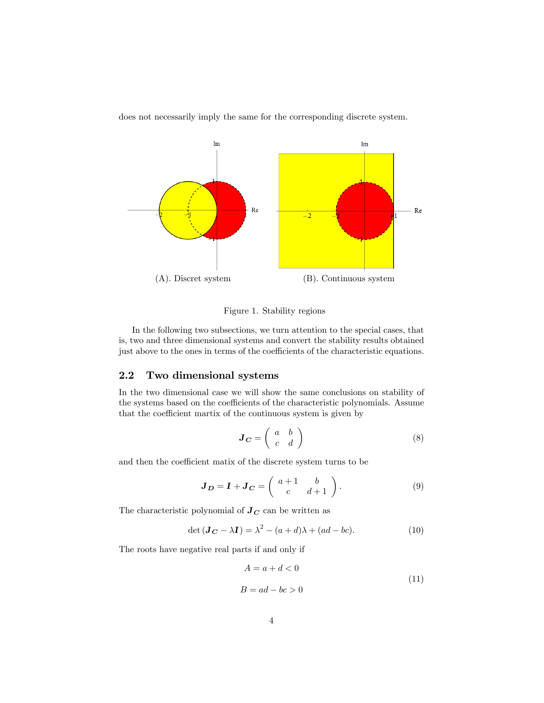

does not necessarily imply the same for the corresponding discrete system.

#### Figure 1. Stability regions

In the following two subsections, we turn attention to the special cases, that is, two and three dimensional systems and convert the stability results obtained just above to the ones in terms of the coefficients of the characteristic equations.

### 2.2 Two dimensional systems

In the two dimensional case we will show the same conclusions on stability of the systems based on the coefficients of the characteristic polynomials. Assume that the coefficient martix of the continuous system is given by

$$
\boldsymbol{J}_{\boldsymbol{C}} = \left( \begin{array}{cc} a & b \\ c & d \end{array} \right) \tag{8}
$$

and then the coefficient matix of the discrete system turns to be

$$
\boldsymbol{J}_{\boldsymbol{D}} = \boldsymbol{I} + \boldsymbol{J}_{\boldsymbol{C}} = \begin{pmatrix} a+1 & b \\ c & d+1 \end{pmatrix} . \tag{9}
$$

The characteristic polynomial of  $J_C$  can be written as

$$
\det(\mathbf{J}_{\mathbf{C}} - \lambda \mathbf{I}) = \lambda^2 - (a + d)\lambda + (ad - bc). \tag{10}
$$

The roots have negative real parts if and only if

$$
A = a + d < 0
$$
\n
$$
B = ad - bc > 0
$$
\n
$$
(11)
$$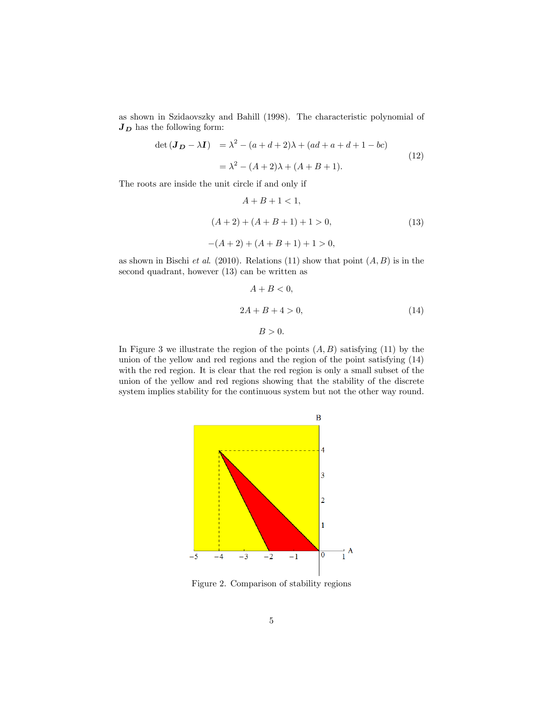as shown in Szidaovszky and Bahill (1998). The characteristic polynomial of  $J_D$  has the following form:

$$
\det(\mathbf{J}_{\mathbf{D}} - \lambda \mathbf{I}) = \lambda^2 - (a + d + 2)\lambda + (ad + a + d + 1 - bc)
$$
  
=  $\lambda^2 - (A + 2)\lambda + (A + B + 1).$  (12)

The roots are inside the unit circle if and only if

$$
A + B + 1 < 1,
$$
\n
$$
(A + 2) + (A + B + 1) + 1 > 0,
$$
\n
$$
-(A + 2) + (A + B + 1) + 1 > 0,
$$
\n
$$
(13)
$$

as shown in Bischi et al. (2010). Relations (11) show that point  $(A, B)$  is in the second quadrant, however (13) can be written as

$$
A + B < 0,
$$
\n
$$
2A + B + 4 > 0,
$$
\n
$$
B > 0.
$$
\n
$$
(14)
$$

In Figure 3 we illustrate the region of the points  $(A, B)$  satisfying (11) by the union of the yellow and red regions and the region of the point satisfying (14) with the red region. It is clear that the red region is only a small subset of the union of the yellow and red regions showing that the stability of the discrete system implies stability for the continuous system but not the other way round.



Figure 2. Comparison of stability regions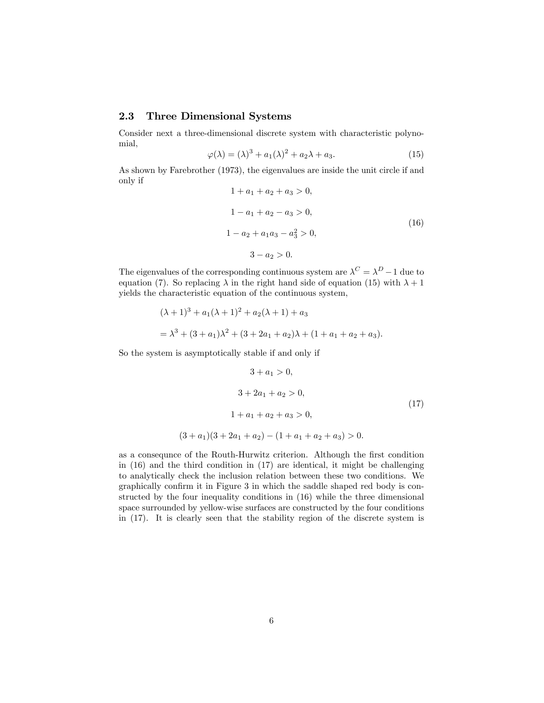## 2.3 Three Dimensional Systems

Consider next a three-dimensional discrete system with characteristic polynomial,

$$
\varphi(\lambda) = (\lambda)^3 + a_1(\lambda)^2 + a_2\lambda + a_3. \tag{15}
$$

As shown by Farebrother (1973), the eigenvalues are inside the unit circle if and only if

$$
1 + a_1 + a_2 + a_3 > 0,
$$
  
\n
$$
1 - a_1 + a_2 - a_3 > 0,
$$
  
\n
$$
1 - a_2 + a_1 a_3 - a_3^2 > 0,
$$
  
\n
$$
3 - a_2 > 0.
$$
  
\n(16)

The eigenvalues of the corresponding continuous system are  $\lambda^C = \lambda^D - 1$  due to equation (7). So replacing  $\lambda$  in the right hand side of equation (15) with  $\lambda + 1$ yields the characteristic equation of the continuous system,

$$
(\lambda + 1)^3 + a_1(\lambda + 1)^2 + a_2(\lambda + 1) + a_3
$$
  
=  $\lambda^3 + (3 + a_1)\lambda^2 + (3 + 2a_1 + a_2)\lambda + (1 + a_1 + a_2 + a_3).$ 

So the system is asymptotically stable if and only if

$$
3 + a_1 > 0,
$$
  
\n
$$
3 + 2a_1 + a_2 > 0,
$$
  
\n
$$
1 + a_1 + a_2 + a_3 > 0,
$$
  
\n
$$
(3 + a_1)(3 + 2a_1 + a_2) - (1 + a_1 + a_2 + a_3) > 0.
$$
  
\n(17)

as a consequnce of the Routh-Hurwitz criterion. Although the first condition in (16) and the third condition in (17) are identical, it might be challenging to analytically check the inclusion relation between these two conditions. We graphically confirm it in Figure 3 in which the saddle shaped red body is constructed by the four inequality conditions in (16) while the three dimensional space surrounded by yellow-wise surfaces are constructed by the four conditions in (17). It is clearly seen that the stability region of the discrete system is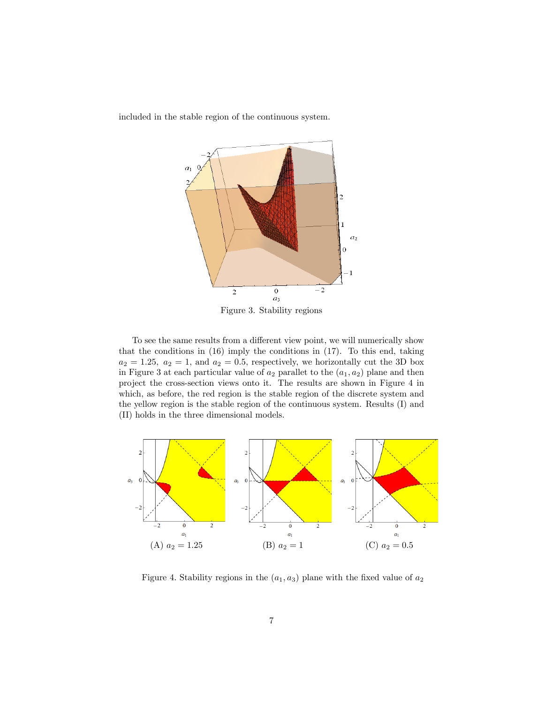

included in the stable region of the continuous system.

Figure 3. Stability regions

To see the same results from a different view point, we will numerically show that the conditions in (16) imply the conditions in (17). To this end, taking  $a_2 = 1.25$ ,  $a_2 = 1$ , and  $a_2 = 0.5$ , respectively, we horizontally cut the 3D box in Figure 3 at each particular value of  $a_2$  parallet to the  $(a_1, a_2)$  plane and then project the cross-section views onto it. The results are shown in Figure 4 in which, as before, the red region is the stable region of the discrete system and the yellow region is the stable region of the continuous system. Results (I) and (II) holds in the three dimensional models.



Figure 4. Stability regions in the  $(a_1, a_3)$  plane with the fixed value of  $a_2$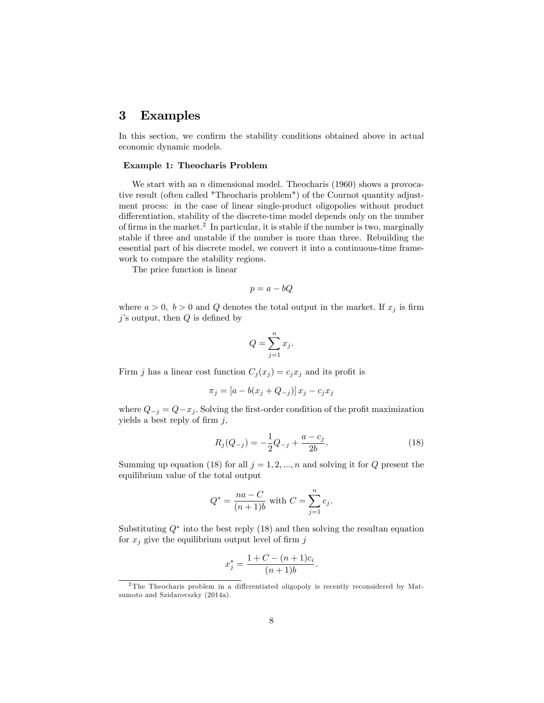# 3 Examples

In this section, we confirm the stability conditions obtained above in actual economic dynamic models.

#### Example 1: Theocharis Problem

We start with an  $n$  dimensional model. Theocharis (1960) shows a provocative result (often called "Theocharis problem") of the Cournot quantity adjustment procss: in the case of linear single-product oligopolies without product differentiation, stability of the discrete-time model depends only on the number of firms in the market.<sup>2</sup> In particular, it is stable if the number is two, marginally stable if three and unstable if the number is more than three. Rebuilding the essential part of his discrete model, we convert it into a continuous-time framework to compare the stability regions.

The price function is linear

$$
p = a - bQ
$$

where  $a > 0$ ,  $b > 0$  and Q denotes the total output in the market. If  $x_j$  is firm j's output, then  $Q$  is defined by

$$
Q = \sum_{j=1}^{n} x_j.
$$

Firm j has a linear cost function  $C_j(x_j) = c_j x_j$  and its profit is

$$
\pi_j = [a - b(x_j + Q_{-j})] x_j - c_j x_j
$$

where  $Q_{-j} = Q - x_j$ . Solving the first-order condition of the profit maximization yields a best reply of firm  $j$ ,

$$
R_j(Q_{-j}) = -\frac{1}{2}Q_{-j} + \frac{a - c_j}{2b}.
$$
\n(18)

Summing up equation (18) for all  $j = 1, 2, ..., n$  and solving it for Q present the equilibrium value of the total output

$$
Q^* = \frac{na - C}{(n+1)b} \text{ with } C = \sum_{j=1}^n c_j.
$$

Substituting  $Q^*$  into the best reply (18) and then solving the resultan equation for  $x_j$  give the equilibrium output level of firm j

$$
x_j^* = \frac{1 + C - (n+1)c_i}{(n+1)b}.
$$

<sup>&</sup>lt;sup>2</sup>The Theocharis problem in a differentiated oligopoly is recently reconsidered by Matsumoto and Szidarovszky (2014a).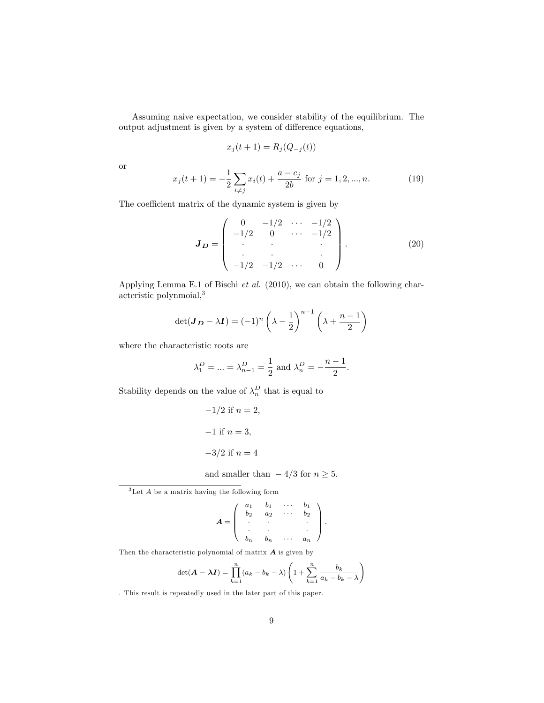Assuming naive expectation, we consider stability of the equilibrium. The output adjustment is given by a system of difference equations,

$$
x_j(t+1) = R_j(Q_{-j}(t))
$$

or

$$
x_j(t+1) = -\frac{1}{2} \sum_{i \neq j} x_i(t) + \frac{a - c_j}{2b} \text{ for } j = 1, 2, ..., n.
$$
 (19)

The coefficient matrix of the dynamic system is given by

$$
\mathbf{J}_{\mathbf{D}} = \begin{pmatrix} 0 & -1/2 & \cdots & -1/2 \\ -1/2 & 0 & \cdots & -1/2 \\ \vdots & \vdots & & \vdots \\ -1/2 & -1/2 & \cdots & 0 \end{pmatrix} .
$$
 (20)

Applying Lemma E.1 of Bischi et al. (2010), we can obtain the following characteristic polynmoial,<sup>3</sup>

$$
\det(\mathbf{J}_{\mathbf{D}} - \lambda \mathbf{I}) = (-1)^n \left(\lambda - \frac{1}{2}\right)^{n-1} \left(\lambda + \frac{n-1}{2}\right)
$$

where the characteristic roots are

$$
\lambda_1^D = \dots = \lambda_{n-1}^D = \frac{1}{2}
$$
 and  $\lambda_n^D = -\frac{n-1}{2}$ .

Stability depends on the value of  $\lambda_n^D$  that is equal to

$$
-1/2 \text{ if } n = 2,
$$
  
-1 if  $n = 3$ ,  
-3/2 if  $n = 4$ 

and smaller than  $-4/3$  for  $n \geq 5$ .

 $3$  Let  $A$  be a matrix having the following form

$$
A = \left( \begin{array}{cccc} a_1 & b_1 & \cdots & b_1 \\ b_2 & a_2 & \cdots & b_2 \\ \cdot & \cdot & \cdot & \cdot \\ \cdot & \cdot & \cdot & \cdot \\ b_n & b_n & \cdots & a_n \end{array} \right).
$$

Then the characteristic polynomial of matrix  $A$  is given by

$$
\det(\mathbf{A} - \lambda \mathbf{I}) = \prod_{k=1}^{n} (a_k - b_k - \lambda) \left( 1 + \sum_{k=1}^{n} \frac{b_k}{a_k - b_k - \lambda} \right)
$$

. This result is repeatedly used in the later part of this paper.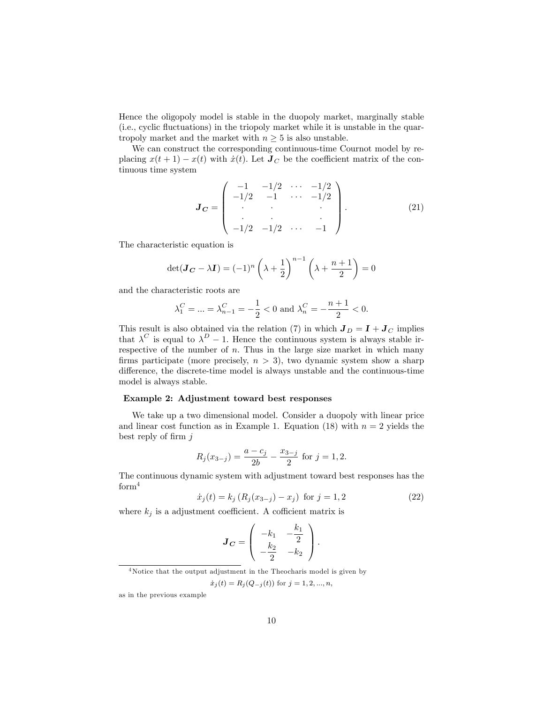Hence the oligopoly model is stable in the duopoly market, marginally stable (i.e., cyclic fluctuations) in the triopoly market while it is unstable in the quartropoly market and the market with  $n \geq 5$  is also unstable.

We can construct the corresponding continuous-time Cournot model by replacing  $x(t + 1) - x(t)$  with  $\dot{x}(t)$ . Let  $J_C$  be the coefficient matrix of the continuous time system

$$
\boldsymbol{J}_{\boldsymbol{C}} = \begin{pmatrix} -1 & -1/2 & \cdots & -1/2 \\ -1/2 & -1 & \cdots & -1/2 \\ \vdots & \vdots & & \vdots \\ -1/2 & -1/2 & \cdots & -1 \end{pmatrix} . \tag{21}
$$

The characteristic equation is

$$
\det(\mathbf{J}_{\mathbf{C}} - \lambda \mathbf{I}) = (-1)^n \left(\lambda + \frac{1}{2}\right)^{n-1} \left(\lambda + \frac{n+1}{2}\right) = 0
$$

and the characteristic roots are

$$
\lambda_1^C = \dots = \lambda_{n-1}^C = -\frac{1}{2} < 0
$$
 and  $\lambda_n^C = -\frac{n+1}{2} < 0$ .

This result is also obtained via the relation (7) in which  $J_D = I + J_C$  implies that  $\lambda^C$  is equal to  $\lambda^D - 1$ . Hence the continuous system is always stable irrespective of the number of  $n$ . Thus in the large size market in which many firms participate (more precisely,  $n > 3$ ), two dynamic system show a sharp difference, the discrete-time model is always unstable and the continuous-time model is always stable.

#### Example 2: Adjustment toward best responses

We take up a two dimensional model. Consider a duopoly with linear price and linear cost function as in Example 1. Equation (18) with  $n = 2$  yields the best reply of firm  $j$ 

$$
R_j(x_{3-j}) = \frac{a-c_j}{2b} - \frac{x_{3-j}}{2}
$$
 for  $j = 1, 2$ .

The continuous dynamic system with adjustment toward best responses has the form<sup>4</sup>

$$
\dot{x}_j(t) = k_j \left( R_j(x_{3-j}) - x_j \right) \text{ for } j = 1, 2 \tag{22}
$$

where  $k_j$  is a adjustment coefficient. A cofficient matrix is

$$
\bm{J}_{\bm{C}} = \left( \begin{array}{cc} -k_1 & -\frac{k_1}{2} \\ -\frac{k_2}{2} & -k_2 \end{array} \right).
$$

<sup>4</sup>Notice that the output adjustment in the Theocharis model is given by

$$
\dot{x}_j(t) = R_j(Q_{-j}(t)) \text{ for } j = 1, 2, ..., n,
$$

as in the previous example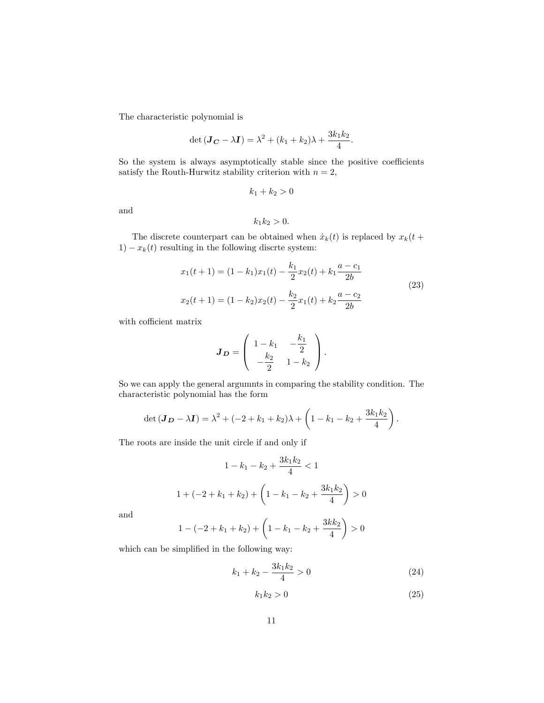The characteristic polynomial is

$$
\det(\mathbf{J}_{\mathbf{C}} - \lambda \mathbf{I}) = \lambda^2 + (k_1 + k_2)\lambda + \frac{3k_1k_2}{4}.
$$

So the system is always asymptotically stable since the positive coefficients satisfy the Routh-Hurwitz stability criterion with  $n = 2$ ,

$$
k_1+k_2>0
$$

and

$$
k_1k_2>0.
$$

The discrete counterpart can be obtained when  $\dot{x}_k(t)$  is replaced by  $x_k(t +$  $1) - x_k(t)$  resulting in the following discrte system:

$$
x_1(t+1) = (1 - k_1)x_1(t) - \frac{k_1}{2}x_2(t) + k_1 \frac{a - c_1}{2b}
$$
  

$$
x_2(t+1) = (1 - k_2)x_2(t) - \frac{k_2}{2}x_1(t) + k_2 \frac{a - c_2}{2b}
$$
 (23)

with cofficient matrix

$$
\boldsymbol{J}_{\boldsymbol{D}} = \left( \begin{array}{cc} 1 - k_1 & -\frac{k_1}{2} \\ -\frac{k_2}{2} & 1 - k_2 \end{array} \right).
$$

So we can apply the general argumnts in comparing the stability condition. The characteristic polynomial has the form

$$
\det(\mathbf{J}_{\mathbf{D}} - \lambda \mathbf{I}) = \lambda^2 + (-2 + k_1 + k_2)\lambda + \left(1 - k_1 - k_2 + \frac{3k_1k_2}{4}\right).
$$

The roots are inside the unit circle if and only if

$$
1 - k_1 - k_2 + \frac{3k_1k_2}{4} < 1
$$
\n
$$
1 + (-2 + k_1 + k_2) + \left(1 - k_1 - k_2 + \frac{3k_1k_2}{4}\right) > 0
$$

and

$$
1 - (-2 + k_1 + k_2) + \left(1 - k_1 - k_2 + \frac{3k k_2}{4}\right) > 0
$$

which can be simplified in the following way:

$$
k_1 + k_2 - \frac{3k_1k_2}{4} > 0
$$
\n(24)

$$
k_1 k_2 > 0 \tag{25}
$$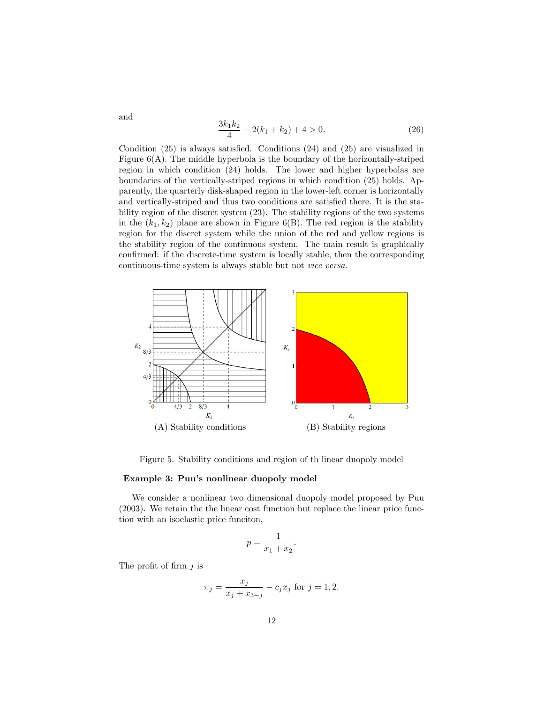$$
\frac{3k_1k_2}{4} - 2(k_1 + k_2) + 4 > 0.
$$
 (26)

Condition  $(25)$  is always satisfied. Conditions  $(24)$  and  $(25)$  are visualized in Figure  $6(A)$ . The middle hyperbola is the boundary of the horizontally-striped region in which condition (24) holds. The lower and higher hyperbolas are boundaries of the vertically-striped regions in which condition (25) holds. Apparently, the quarterly disk-shaped region in the lower-left corner is horizontally and vertically-striped and thus two conditions are satisfied there. It is the stability region of the discret system (23). The stability regions of the two systems in the  $(k_1, k_2)$  plane are shown in Figure 6(B). The red region is the stability region for the discret system while the union of the red and yellow regions is the stability region of the continuous system. The main result is graphically confirmed: if the discrete-time system is locally stable, then the corresponding continuous-time system is always stable but not vice versa.



Figure 5. Stability conditions and region of th linear duopoly model

#### Example 3: Puuís nonlinear duopoly model

We consider a nonlinear two dimensional duopoly model proposed by Puu (2003). We retain the the linear cost function but replace the linear price function with an isoelastic price funciton,

$$
p = \frac{1}{x_1 + x_2}.
$$

The profit of firm  $j$  is

$$
\pi_j = \frac{x_j}{x_j + x_{3-j}} - c_j x_j \text{ for } j = 1, 2.
$$

and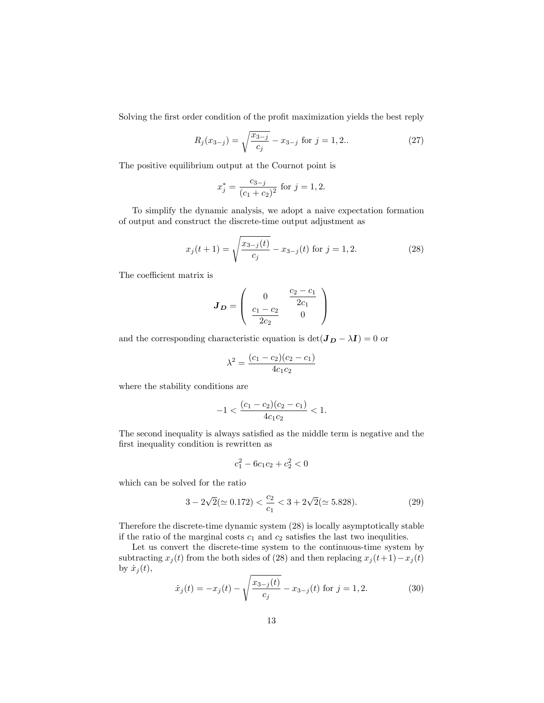Solving the first order condition of the profit maximization yields the best reply

$$
R_j(x_{3-j}) = \sqrt{\frac{x_{3-j}}{c_j}} - x_{3-j} \text{ for } j = 1, 2. \tag{27}
$$

The positive equilibrium output at the Cournot point is

$$
x_j^* = \frac{c_{3-j}}{(c_1 + c_2)^2}
$$
 for  $j = 1, 2$ .

To simplify the dynamic analysis, we adopt a naive expectation formation of output and construct the discrete-time output adjustment as

$$
x_j(t+1) = \sqrt{\frac{x_{3-j}(t)}{c_j}} - x_{3-j}(t) \text{ for } j = 1, 2.
$$
 (28)

The coefficient matrix is

$$
\boldsymbol{J}_{\boldsymbol{D}} = \left( \begin{array}{cc} 0 & \frac{c_2 - c_1}{2c_1} \\ \frac{c_1 - c_2}{2c_2} & 0 \end{array} \right)
$$

and the corresponding characteristic equation is  $\det(\bm{J}_{\bm{D}} - \lambda \bm{I}) = 0$  or

$$
\lambda^{2} = \frac{(c_{1} - c_{2})(c_{2} - c_{1})}{4c_{1}c_{2}}
$$

where the stability conditions are

$$
-1 < \frac{(c_1 - c_2)(c_2 - c_1)}{4c_1c_2} < 1.
$$

The second inequality is always satisfied as the middle term is negative and the first inequality condition is rewritten as

$$
c_1^2 - 6c_1c_2 + c_2^2 < 0
$$

which can be solved for the ratio

$$
3 - 2\sqrt{2}(\simeq 0.172) < \frac{c_2}{c_1} < 3 + 2\sqrt{2}(\simeq 5.828). \tag{29}
$$

Therefore the discrete-time dynamic system (28) is locally asymptotically stable if the ratio of the marginal costs  $c_1$  and  $c_2$  satisfies the last two inequlities.

Let us convert the discrete-time system to the continuous-time system by subtracting  $x_j(t)$  from the both sides of (28) and then replacing  $x_j(t+1)-x_j(t)$ by  $\dot{x}_i (t)$ ,

$$
\dot{x}_j(t) = -x_j(t) - \sqrt{\frac{x_{3-j}(t)}{c_j}} - x_{3-j}(t) \text{ for } j = 1, 2.
$$
 (30)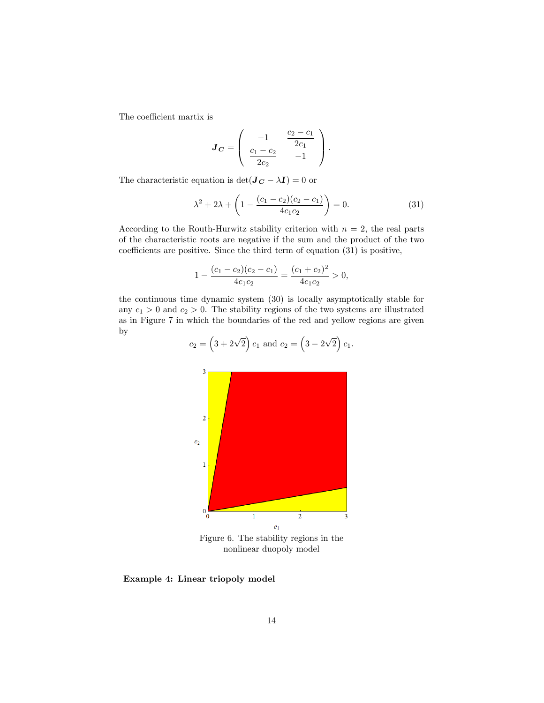The coefficient martix is

$$
\boldsymbol{J}_{\boldsymbol{C}} = \left( \begin{array}{cc} -1 & \frac{c_2 - c_1}{2c_1} \\ \frac{c_1 - c_2}{2c_2} & -1 \end{array} \right).
$$

The characteristic equation is  $\det(\mathbf{J}_{\mathbf{C}} - \lambda \mathbf{I}) = 0$  or

$$
\lambda^{2} + 2\lambda + \left(1 - \frac{(c_{1} - c_{2})(c_{2} - c_{1})}{4c_{1}c_{2}}\right) = 0.
$$
\n(31)

According to the Routh-Hurwitz stability criterion with  $n = 2$ , the real parts of the characteristic roots are negative if the sum and the product of the two coefficients are positive. Since the third term of equation  $(31)$  is positive,

$$
1 - \frac{(c_1 - c_2)(c_2 - c_1)}{4c_1c_2} = \frac{(c_1 + c_2)^2}{4c_1c_2} > 0,
$$

the continuous time dynamic system (30) is locally asymptotically stable for any  $c_1 > 0$  and  $c_2 > 0$ . The stability regions of the two systems are illustrated as in Figure 7 in which the boundaries of the red and yellow regions are given by  $c_2 = \left(3 + 2\sqrt{2}\right)c_1 \text{ and } c_2 = \left(3 - 2\sqrt{2}\right)c_1.$ 



Figure 6. The stability regions in the nonlinear duopoly model

Example 4: Linear triopoly model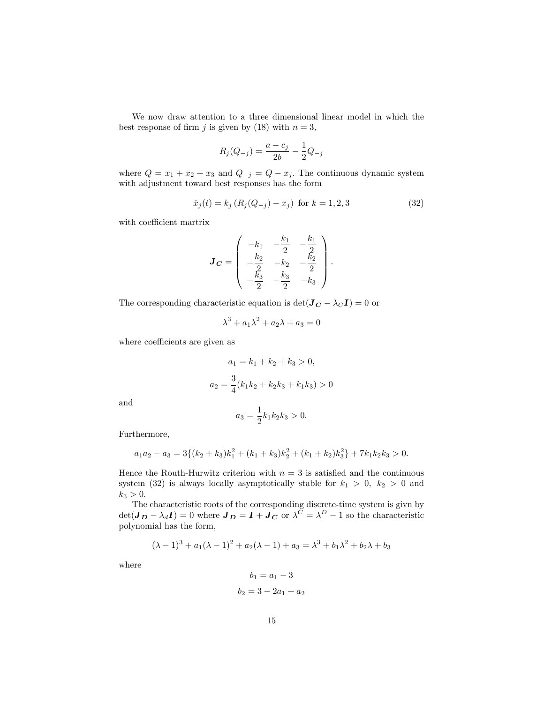We now draw attention to a three dimensional linear model in which the best response of firm j is given by (18) with  $n = 3$ ,

$$
R_j(Q_{-j}) = \frac{a - c_j}{2b} - \frac{1}{2}Q_{-j}
$$

where  $Q = x_1 + x_2 + x_3$  and  $Q_{-j} = Q - x_j$ . The continuous dynamic system with adjustment toward best responses has the form

$$
\dot{x}_j(t) = k_j \left( R_j(Q_{-j}) - x_j \right) \text{ for } k = 1, 2, 3 \tag{32}
$$

with coefficient martrix

$$
\boldsymbol{J}_{\boldsymbol{C}} = \begin{pmatrix} -k_1 & -\frac{k_1}{2} & -\frac{k_1}{2} \\ -\frac{k_2}{2} & -k_2 & -\frac{k_2}{2} \\ -\frac{k_3}{2} & -\frac{k_3}{2} & -k_3 \end{pmatrix}.
$$

The corresponding characteristic equation is  $\det(\mathbf{J}_{\mathbf{C}} - \lambda_C \mathbf{I}) = 0$  or

$$
\lambda^3 + a_1 \lambda^2 + a_2 \lambda + a_3 = 0
$$

where coefficients are given as

$$
a_1 = k_1 + k_2 + k_3 > 0,
$$
  

$$
a_2 = \frac{3}{4}(k_1k_2 + k_2k_3 + k_1k_3) > 0
$$

and

$$
a_3 = \frac{1}{2}k_1k_2k_3 > 0.
$$

Furthermore,

$$
a_1a_2 - a_3 = 3\{(k_2 + k_3)k_1^2 + (k_1 + k_3)k_2^2 + (k_1 + k_2)k_3^2\} + 7k_1k_2k_3 > 0.
$$

Hence the Routh-Hurwitz criterion with  $n = 3$  is satisfied and the continuous system (32) is always locally asymptotically stable for  $k_1 > 0$ ,  $k_2 > 0$  and  $k_3 > 0$ .

The characteristic roots of the corresponding discrete-time system is givn by  $\det(\bm{J}_{\bm{D}} - \lambda_d \bm{I}) = 0$  where  $\bm{J}_{\bm{D}} = \bm{I} + \bm{J}_{\bm{C}}$  or  $\lambda^{\bm{C}} = \lambda^{\bm{D}} - 1$  so the characteristic polynomial has the form,

$$
(\lambda - 1)^3 + a_1(\lambda - 1)^2 + a_2(\lambda - 1) + a_3 = \lambda^3 + b_1\lambda^2 + b_2\lambda + b_3
$$

where

$$
b_1 = a_1 - 3
$$

$$
b_2 = 3 - 2a_1 + a_2
$$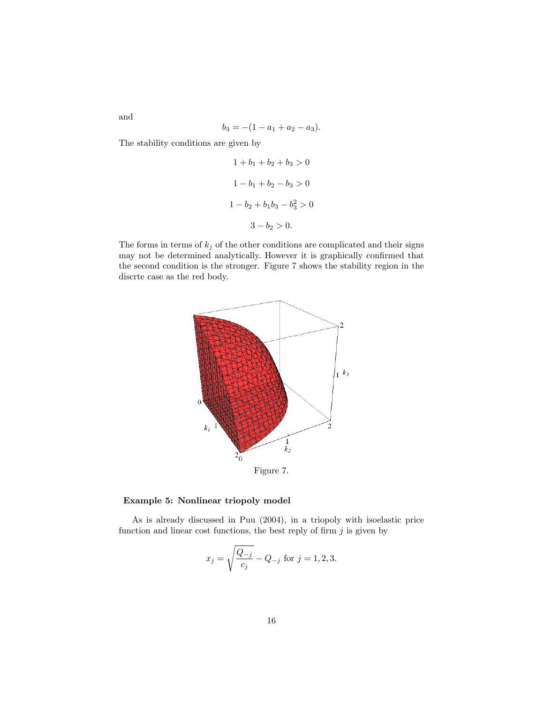$$
b_3 = -(1 - a_1 + a_2 - a_3).
$$

The stability conditions are given by

$$
1 + b_1 + b_2 + b_3 > 0
$$

$$
1 - b_1 + b_2 - b_3 > 0
$$

$$
1 - b_2 + b_1 b_3 - b_3^2 > 0
$$

$$
3 - b_2 > 0.
$$

The forms in terms of  $k_j$  of the other conditions are complicated and their signs may not be determined analytically. However it is graphically confirmed that the second condition is the stronger. Figure 7 shows the stability region in the discrte case as the red body.



### Example 5: Nonlinear triopoly model

As is already discussed in Puu (2004), in a triopoly with isoelastic price function and linear cost functions, the best reply of firm  $j$  is given by

$$
x_j = \sqrt{\frac{Q_{-j}}{c_j}} - Q_{-j}
$$
 for  $j = 1, 2, 3$ .

and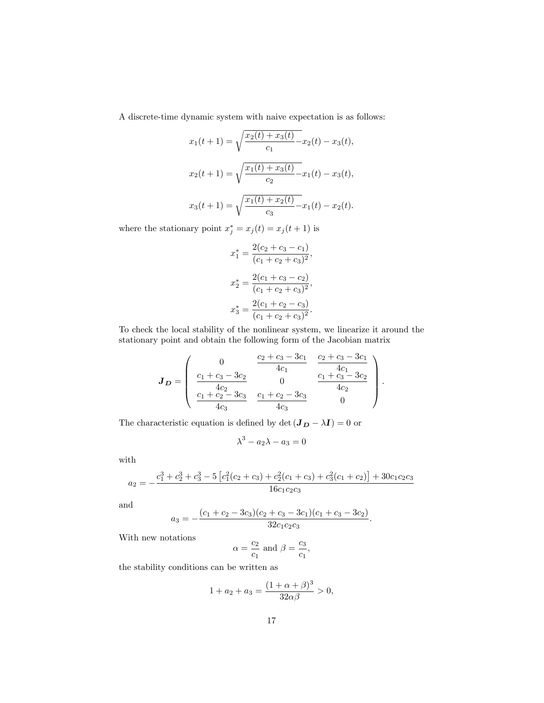A discrete-time dynamic system with naive expectation is as follows:

$$
x_1(t+1) = \sqrt{\frac{x_2(t) + x_3(t)}{c_1}} - x_2(t) - x_3(t),
$$
  

$$
x_2(t+1) = \sqrt{\frac{x_1(t) + x_3(t)}{c_2}} - x_1(t) - x_3(t),
$$
  

$$
x_3(t+1) = \sqrt{\frac{x_1(t) + x_2(t)}{c_3}} - x_1(t) - x_2(t).
$$

where the stationary point  $x_j^* = x_j(t) = x_j(t+1)$  is

$$
x_1^* = \frac{2(c_2 + c_3 - c_1)}{(c_1 + c_2 + c_3)^2},
$$
  
\n
$$
x_2^* = \frac{2(c_1 + c_3 - c_2)}{(c_1 + c_2 + c_3)^2},
$$
  
\n
$$
x_3^* = \frac{2(c_1 + c_2 - c_3)}{(c_1 + c_2 + c_3)^2}.
$$

To check the local stability of the nonlinear system, we linearize it around the stationary point and obtain the following form of the Jacobian matrix

$$
\boldsymbol{J}_{\boldsymbol{D}} = \left( \begin{array}{ccc} 0 & \frac{c_2 + c_3 - 3c_1}{4c_1} & \frac{c_2 + c_3 - 3c_1}{4c_1} \\ \frac{c_1 + c_3 - 3c_2}{4c_2} & 0 & \frac{c_1 + c_3 - 3c_2}{4c_2} \\ \frac{c_1 + c_2 - 3c_3}{4c_3} & \frac{c_1 + c_2 - 3c_3}{4c_3} & 0 \end{array} \right).
$$

The characteristic equation is defined by  $\det\left(\mathbf{J}_{\boldsymbol{D}}-\lambda\mathbf{I}\right)=0$  or

$$
\lambda^3 - a_2 \lambda - a_3 = 0
$$

with

$$
a_2 = -\frac{c_1^3 + c_2^3 + c_3^3 - 5[c_1^2(c_2 + c_3) + c_2^2(c_1 + c_3) + c_3^2(c_1 + c_2)] + 30c_1c_2c_3}{16c_1c_2c_3}
$$

and

$$
a_3 = -\frac{(c_1 + c_2 - 3c_3)(c_2 + c_3 - 3c_1)(c_1 + c_3 - 3c_2)}{32c_1c_2c_3}.
$$

With new notations

$$
\alpha = \frac{c_2}{c_1} \text{ and } \beta = \frac{c_3}{c_1},
$$

the stability conditions can be written as

$$
1 + a_2 + a_3 = \frac{(1 + \alpha + \beta)^3}{32\alpha\beta} > 0,
$$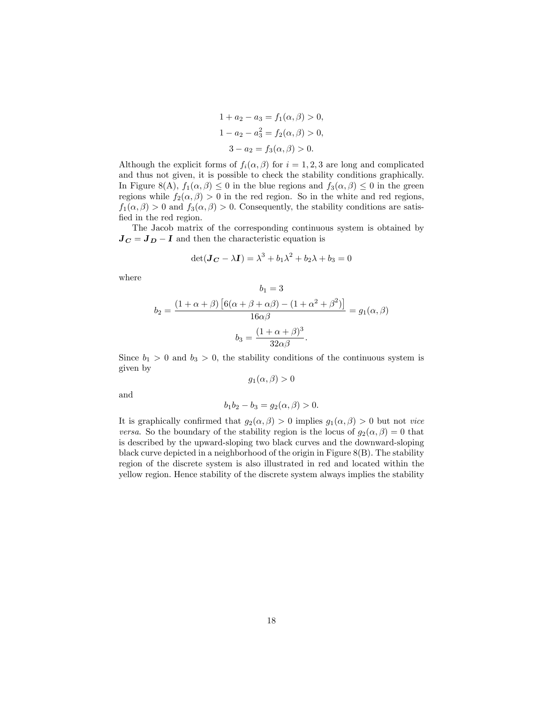$$
1 + a_2 - a_3 = f_1(\alpha, \beta) > 0,
$$
  
\n
$$
1 - a_2 - a_3^2 = f_2(\alpha, \beta) > 0,
$$
  
\n
$$
3 - a_2 = f_3(\alpha, \beta) > 0.
$$

Although the explicit forms of  $f_i(\alpha, \beta)$  for  $i = 1, 2, 3$  are long and complicated and thus not given, it is possible to check the stability conditions graphically. In Figure 8(A),  $f_1(\alpha, \beta) \leq 0$  in the blue regions and  $f_3(\alpha, \beta) \leq 0$  in the green regions while  $f_2(\alpha, \beta) > 0$  in the red region. So in the white and red regions,  $f_1(\alpha,\beta) > 0$  and  $f_3(\alpha,\beta) > 0$ . Consequently, the stability conditions are satisfied in the red region.

The Jacob matrix of the corresponding continuous system is obtained by  $J_C = J_D - I$  and then the characteristic equation is

$$
\det(\mathbf{J}_{\mathbf{C}} - \lambda \mathbf{I}) = \lambda^3 + b_1 \lambda^2 + b_2 \lambda + b_3 = 0
$$

 $b_1 = 3$ 

where

$$
b_2 = \frac{(1+\alpha+\beta)\left[6(\alpha+\beta+\alpha\beta)-(1+\alpha^2+\beta^2)\right]}{16\alpha\beta} = g_1(\alpha,\beta)
$$

$$
b_3 = \frac{(1+\alpha+\beta)^3}{32\alpha\beta}.
$$

Since  $b_1 > 0$  and  $b_3 > 0$ , the stability conditions of the continuous system is given by

 $g_1(\alpha, \beta) > 0$ 

and

$$
b_1 b_2 - b_3 = g_2(\alpha, \beta) > 0.
$$

It is graphically confirmed that  $g_2(\alpha, \beta) > 0$  implies  $g_1(\alpha, \beta) > 0$  but not vice *versa*. So the boundary of the stability region is the locus of  $g_2(\alpha, \beta) = 0$  that is described by the upward-sloping two black curves and the downward-sloping black curve depicted in a neighborhood of the origin in Figure 8(B). The stability region of the discrete system is also illustrated in red and located within the yellow region. Hence stability of the discrete system always implies the stability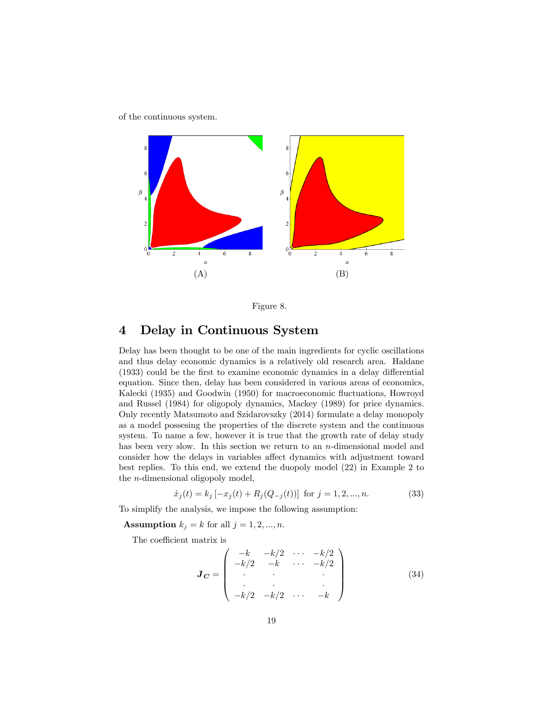of the continuous system.



Figure 8.

# 4 Delay in Continuous System

Delay has been thought to be one of the main ingredients for cyclic oscillations and thus delay economic dynamics is a relatively old research area. Haldane  $(1933)$  could be the first to examine economic dynamics in a delay differential equation. Since then, delay has been considered in various areas of economics, Kalecki (1935) and Goodwin (1950) for macroeconomic fluctuations, Howroyd and Russel (1984) for oligopoly dynamics, Mackey (1989) for price dynamics. Only recently Matsumoto and Szidarovszky (2014) formulate a delay monopoly as a model possesing the properties of the discrete system and the continuous system. To name a few, however it is true that the growth rate of delay study has been very slow. In this section we return to an  $n$ -dimensional model and consider how the delays in variables affect dynamics with adjustment toward best replies. To this end, we extend the duopoly model (22) in Example 2 to the n-dimensional oligopoly model,

$$
\dot{x}_j(t) = k_j \left[ -x_j(t) + R_j(Q_{-j}(t)) \right] \text{ for } j = 1, 2, ..., n. \tag{33}
$$

To simplify the analysis, we impose the following assumption:

**Assumption**  $k_j = k$  for all  $j = 1, 2, ..., n$ .

The coefficient matrix is

$$
\mathbf{J}_{\mathbf{C}} = \begin{pmatrix} -k & -k/2 & \cdots & -k/2 \\ -k/2 & -k & \cdots & -k/2 \\ \cdot & \cdot & \cdot & \cdot \\ -k/2 & -k/2 & \cdots & -k \end{pmatrix}
$$
(34)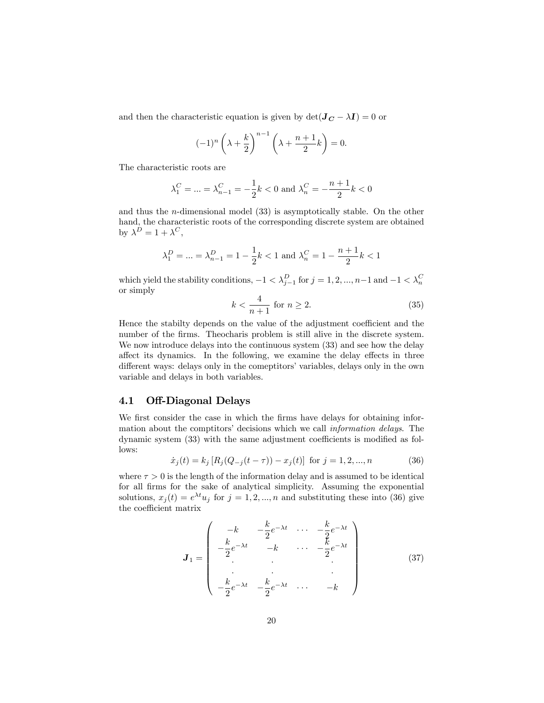and then the characteristic equation is given by  $\det(\mathbf{J}_{\mathbf{C}} - \lambda \mathbf{I}) = 0$  or

$$
(-1)^n \left(\lambda + \frac{k}{2}\right)^{n-1} \left(\lambda + \frac{n+1}{2}k\right) = 0.
$$

The characteristic roots are

$$
\lambda^C_1=\ldots=\lambda^C_{n-1}=-\frac{1}{2}k<0\text{ and }\lambda^C_n=-\frac{n+1}{2}k<0
$$

and thus the n-dimensional model (33) is asymptotically stable. On the other hand, the characteristic roots of the corresponding discrete system are obtained by  $\lambda^D = 1 + \lambda^C$ ,

$$
\lambda_1^D = \dots = \lambda_{n-1}^D = 1 - \frac{1}{2}k < 1
$$
 and  $\lambda_n^C = 1 - \frac{n+1}{2}k < 1$ 

which yield the stability conditions,  $-1 < \lambda_{j-1}^D$  for  $j = 1, 2, ..., n-1$  and  $-1 < \lambda_n^C$ or simply

$$
k < \frac{4}{n+1} \text{ for } n \ge 2. \tag{35}
$$

Hence the stabilty depends on the value of the adjustment coefficient and the number of the firms. Theocharis problem is still alive in the discrete system. We now introduce delays into the continuous system  $(33)$  and see how the delay affect its dynamics. In the following, we examine the delay effects in three different ways: delays only in the comeptitors' variables, delays only in the own variable and delays in both variables.

### 4.1 Off-Diagonal Delays

We first consider the case in which the firms have delays for obtaining information about the comptitors' decisions which we call *information delays*. The dynamic system  $(33)$  with the same adjustment coefficients is modified as follows:

$$
\dot{x}_j(t) = k_j \left[ R_j(Q_{-j}(t-\tau)) - x_j(t) \right] \text{ for } j = 1, 2, ..., n \tag{36}
$$

where  $\tau > 0$  is the length of the information delay and is assumed to be identical for all firms for the sake of analytical simplicity. Assuming the exponential solutions,  $x_j(t) = e^{\lambda t} u_j$  for  $j = 1, 2, ..., n$  and substituting these into (36) give the coefficient matrix

$$
\mathbf{J}_1 = \begin{pmatrix} -k & -\frac{k}{2}e^{-\lambda t} & \cdots & -\frac{k}{2}e^{-\lambda t} \\ -\frac{k}{2}e^{-\lambda t} & -k & \cdots & -\frac{k}{2}e^{-\lambda t} \\ \vdots & \vdots & \ddots & \vdots \\ -\frac{k}{2}e^{-\lambda t} & -\frac{k}{2}e^{-\lambda t} & \cdots & -k \end{pmatrix}
$$
(37)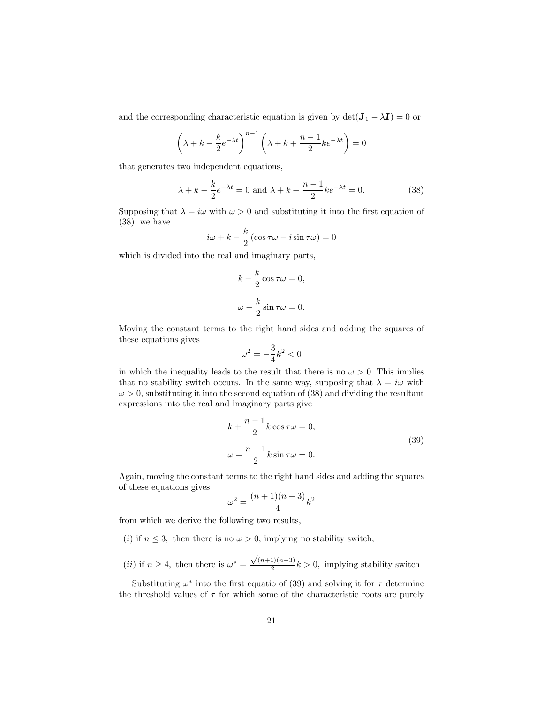and the corresponding characteristic equation is given by  $\det(\mathbf{J}_1 - \lambda \mathbf{I}) = 0$  or

$$
\left(\lambda + k - \frac{k}{2}e^{-\lambda t}\right)^{n-1} \left(\lambda + k + \frac{n-1}{2}ke^{-\lambda t}\right) = 0
$$

that generates two independent equations,

$$
\lambda + k - \frac{k}{2}e^{-\lambda t} = 0 \text{ and } \lambda + k + \frac{n-1}{2}ke^{-\lambda t} = 0.
$$
 (38)

Supposing that  $\lambda = i\omega$  with  $\omega > 0$  and substituting it into the first equation of (38), we have

$$
i\omega + k - \frac{k}{2} (\cos \tau \omega - i \sin \tau \omega) = 0
$$

which is divided into the real and imaginary parts,

$$
k - \frac{k}{2}\cos \tau \omega = 0,
$$
  

$$
\omega - \frac{k}{2}\sin \tau \omega = 0.
$$

Moving the constant terms to the right hand sides and adding the squares of these equations gives

$$
\omega^2 = -\frac{3}{4}k^2 < 0
$$

in which the inequality leads to the result that there is no  $\omega > 0$ . This implies that no stability switch occurs. In the same way, supposing that  $\lambda = i\omega$  with  $\omega > 0$ , substituting it into the second equation of (38) and dividing the resultant expressions into the real and imaginary parts give

$$
k + \frac{n-1}{2}k\cos\tau\omega = 0,
$$
  

$$
\omega - \frac{n-1}{2}k\sin\tau\omega = 0.
$$
 (39)

Again, moving the constant terms to the right hand sides and adding the squares of these equations gives

$$
\omega^2 = \frac{(n+1)(n-3)}{4}k^2
$$

from which we derive the following two results,

- (i) if  $n \leq 3$ , then there is no  $\omega > 0$ , implying no stability switch;
- (*ii*) if  $n \geq 4$ , then there is  $\omega^* =$  $\frac{\sqrt{(n+1)(n-3)}}{2}k > 0$ , implying stability switch

Substituting  $\omega^*$  into the first equatio of (39) and solving it for  $\tau$  determine the threshold values of  $\tau$  for which some of the characteristic roots are purely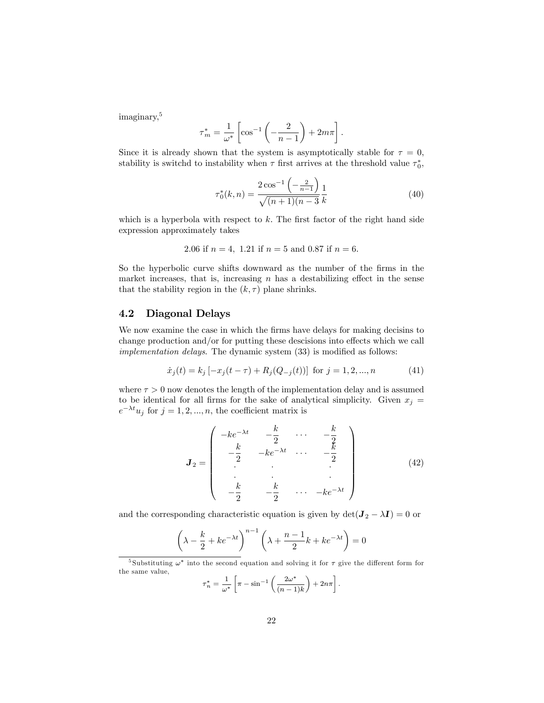imaginary,<sup>5</sup>

$$
\tau_m^* = \frac{1}{\omega^*} \left[ \cos^{-1} \left( -\frac{2}{n-1} \right) + 2m\pi \right].
$$

Since it is already shown that the system is asymptotically stable for  $\tau = 0$ , stability is switchd to instability when  $\tau$  first arrives at the threshold value  $\tau_0^*$ ,

$$
\tau_0^*(k, n) = \frac{2\cos^{-1}\left(-\frac{2}{n-1}\right)}{\sqrt{(n+1)(n-3)}}\frac{1}{k} \tag{40}
$$

which is a hyperbola with respect to  $k$ . The first factor of the right hand side expression approximately takes

2.06 if 
$$
n = 4
$$
, 1.21 if  $n = 5$  and 0.87 if  $n = 6$ .

So the hyperbolic curve shifts downward as the number of the firms in the market increases, that is, increasing  $n$  has a destabilizing effect in the sense that the stability region in the  $(k, \tau)$  plane shrinks.

### 4.2 Diagonal Delays

We now examine the case in which the firms have delays for making decisins to change production and/or for putting these descisions into effects which we call  $implementation$  delays. The dynamic system  $(33)$  is modified as follows:

$$
\dot{x}_j(t) = k_j \left[ -x_j(t-\tau) + R_j(Q_{-j}(t)) \right] \text{ for } j = 1, 2, ..., n \tag{41}
$$

where  $\tau > 0$  now denotes the length of the implementation delay and is assumed to be identical for all firms for the sake of analytical simplicity. Given  $x_i =$  $e^{-\lambda t}u_j$  for  $j=1,2,...,n$ , the coefficient matrix is

$$
\mathbf{J}_2 = \begin{pmatrix} -ke^{-\lambda t} & -\frac{k}{2} & \cdots & -\frac{k}{2} \\ -\frac{k}{2} & -ke^{-\lambda t} & \cdots & -\frac{k}{2} \\ \vdots & \vdots & \ddots & \vdots \\ -\frac{k}{2} & -\frac{k}{2} & \cdots & -ke^{-\lambda t} \end{pmatrix}
$$
(42)

:

and the corresponding characteristic equation is given by  $\det(\mathbf{J}_2 - \lambda \mathbf{I}) = 0$  or

$$
\left(\lambda - \frac{k}{2} + ke^{-\lambda t}\right)^{n-1} \left(\lambda + \frac{n-1}{2}k + ke^{-\lambda t}\right) = 0
$$

<sup>5</sup> Substituting  $\omega^*$  into the second equation and solving it for  $\tau$  give the different form for the same value,

$$
\tau_n^* = \frac{1}{\omega^*} \left[ \pi - \sin^{-1} \left( \frac{2\omega^*}{(n-1)k} \right) + 2n\pi \right]
$$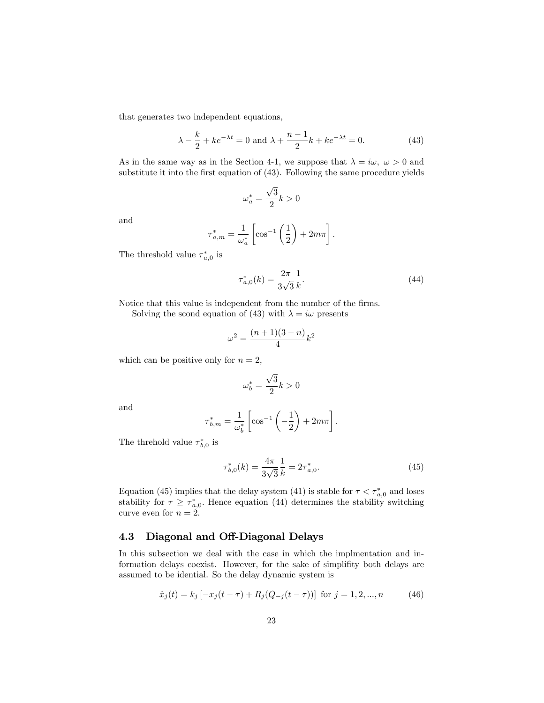that generates two independent equations,

$$
\lambda - \frac{k}{2} + ke^{-\lambda t} = 0
$$
 and  $\lambda + \frac{n-1}{2}k + ke^{-\lambda t} = 0.$  (43)

As in the same way as in the Section 4-1, we suppose that  $\lambda = i\omega, \ \omega > 0$  and substitute it into the first equation of  $(43)$ . Following the same procedure yields

$$
\omega_a^*=\frac{\sqrt{3}}{2}k>0
$$

and

$$
\tau_{a,m}^* = \frac{1}{\omega_a^*} \left[ \cos^{-1} \left( \frac{1}{2} \right) + 2m\pi \right].
$$

The threshold value  $\tau_{a,0}^*$  is

$$
\tau_{a,0}^*(k) = \frac{2\pi}{3\sqrt{3}} \frac{1}{k}.\tag{44}
$$

Notice that this value is independent from the number of the firms.

Solving the scond equation of (43) with  $\lambda = i\omega$  presents

$$
\omega^2 = \frac{(n+1)(3-n)}{4}k^2
$$

which can be positive only for  $n = 2$ ,

$$
\omega_b^*=\frac{\sqrt{3}}{2}k>0
$$

and

$$
\tau_{b,m}^* = \frac{1}{\omega_b^*} \left[ \cos^{-1} \left( -\frac{1}{2} \right) + 2m\pi \right].
$$

The threhold value  $\tau_{b,0}^*$  is

$$
\tau_{b,0}^*(k) = \frac{4\pi}{3\sqrt{3}} \frac{1}{k} = 2\tau_{a,0}^*.
$$
\n(45)

Equation (45) implies that the delay system (41) is stable for  $\tau < \tau_{a,0}^*$  and loses stability for  $\tau \geq \tau_{a,0}^*$ . Hence equation (44) determines the stability switching curve even for  $n = 2$ .

## 4.3 Diagonal and Off-Diagonal Delays

In this subsection we deal with the case in which the implmentation and information delays coexist. However, for the sake of simplifity both delays are assumed to be idential. So the delay dynamic system is

$$
\dot{x}_j(t) = k_j \left[ -x_j(t-\tau) + R_j(Q_{-j}(t-\tau)) \right] \text{ for } j = 1, 2, ..., n \tag{46}
$$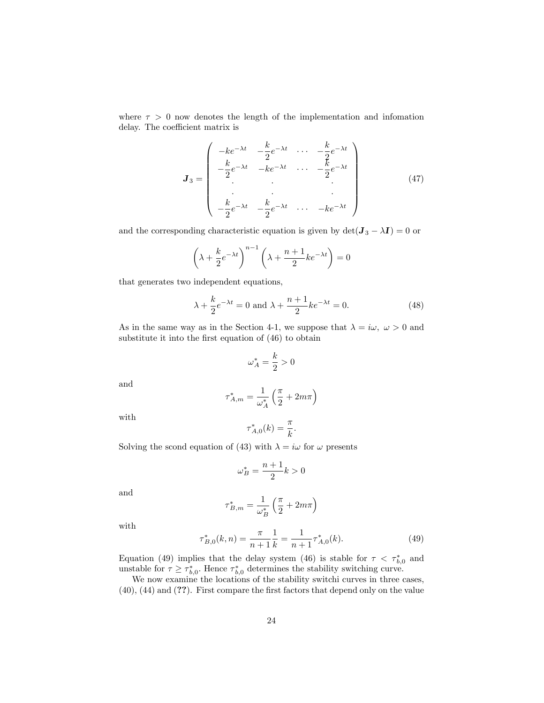where  $\tau > 0$  now denotes the length of the implementation and infomation delay. The coefficient matrix is

$$
\mathbf{J}_3 = \begin{pmatrix} -ke^{-\lambda t} & -\frac{k}{2}e^{-\lambda t} & \cdots & -\frac{k}{2}e^{-\lambda t} \\ -\frac{k}{2}e^{-\lambda t} & -ke^{-\lambda t} & \cdots & -\frac{k}{2}e^{-\lambda t} \\ \vdots & \vdots & \ddots & \vdots \\ -\frac{k}{2}e^{-\lambda t} & -\frac{k}{2}e^{-\lambda t} & \cdots & -ke^{-\lambda t} \end{pmatrix}
$$
(47)

and the corresponding characteristic equation is given by  $\det(\mathbf{J}_3 - \lambda \mathbf{I}) = 0$  or

$$
\left(\lambda + \frac{k}{2}e^{-\lambda t}\right)^{n-1} \left(\lambda + \frac{n+1}{2}ke^{-\lambda t}\right) = 0
$$

that generates two independent equations,

$$
\lambda + \frac{k}{2}e^{-\lambda t} = 0 \text{ and } \lambda + \frac{n+1}{2}ke^{-\lambda t} = 0.
$$
 (48)

As in the same way as in the Section 4-1, we suppose that  $\lambda = i\omega, \ \omega > 0$  and substitute it into the first equation of  $(46)$  to obtain

$$
\omega^*_A=\frac{k}{2}>0
$$

and

$$
\tau_{A,m}^* = \frac{1}{\omega_A^*} \left( \frac{\pi}{2} + 2m\pi \right)
$$

with

$$
\tau_{A,0}^*(k) = \frac{\pi}{k}.
$$

Solving the scond equation of (43) with  $\lambda = i\omega$  for  $\omega$  presents

$$
\omega_B^*=\frac{n+1}{2}k>0
$$

and

$$
\tau_{B,m}^* = \frac{1}{\omega_B^*} \left( \frac{\pi}{2} + 2m\pi \right)
$$

with

$$
\tau_{B,0}^*(k,n) = \frac{\pi}{n+1} \frac{1}{k} = \frac{1}{n+1} \tau_{A,0}^*(k). \tag{49}
$$

Equation (49) implies that the delay system (46) is stable for  $\tau < \tau_{b,0}^*$  and unstable for  $\tau \geq \tau_{b,0}^*$ . Hence  $\tau_{b,0}^*$  determines the stability switching curve.

We now examine the locations of the stability switchi curves in three cases,  $(40)$ ,  $(44)$  and  $(22)$ . First compare the first factors that depend only on the value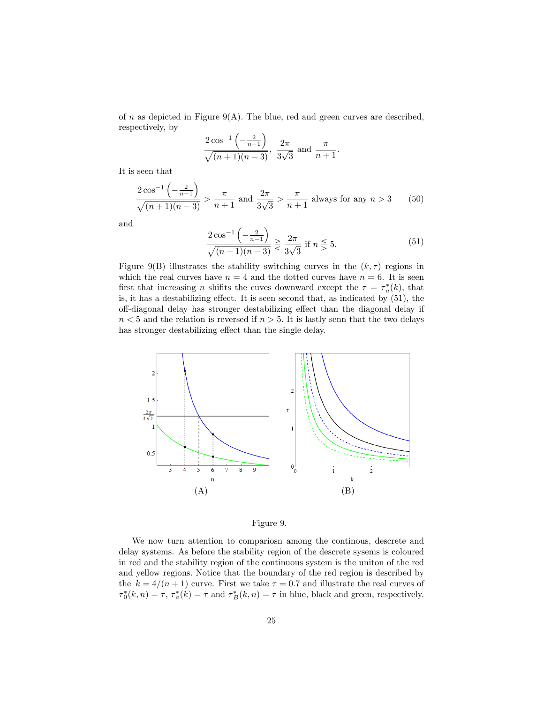of *n* as depicted in Figure 9(A). The blue, red and green curves are described, respectively, by

$$
\frac{2\cos^{-1}\left(-\frac{2}{n-1}\right)}{\sqrt{(n+1)(n-3)}}, \frac{2\pi}{3\sqrt{3}} \text{ and } \frac{\pi}{n+1}.
$$

It is seen that

$$
\frac{2\cos^{-1}\left(-\frac{2}{n-1}\right)}{\sqrt{(n+1)(n-3)}} > \frac{\pi}{n+1} \text{ and } \frac{2\pi}{3\sqrt{3}} > \frac{\pi}{n+1} \text{ always for any } n > 3 \tag{50}
$$

and

$$
\frac{2\cos^{-1}\left(-\frac{2}{n-1}\right)}{\sqrt{(n+1)(n-3)}} \ge \frac{2\pi}{3\sqrt{3}} \text{ if } n \le 5. \tag{51}
$$

Figure 9(B) illustrates the stability switching curves in the  $(k, \tau)$  regions in which the real curves have  $n = 4$  and the dotted curves have  $n = 6$ . It is seen first that increasing *n* shifts the cuves downward except the  $\tau = \tau_a^*(k)$ , that is, it has a destabilizing effect. It is seen second that, as indicated by  $(51)$ , the o§-diagonal delay has stronger destabilizing e§ect than the diagonal delay if  $n < 5$  and the relation is reversed if  $n > 5$ . It is lastly senn that the two delays has stronger destabilizing effect than the single delay.



Figure 9.

We now turn attention to compariosn among the continous, descrete and delay systems. As before the stability region of the descrete sysems is coloured in red and the stability region of the continuous system is the uniton of the red and yellow regions. Notice that the boundary of the red region is described by the  $k = 4/(n + 1)$  curve. First we take  $\tau = 0.7$  and illustrate the real curves of  $\tau_0^*(k, n) = \tau$ ,  $\tau_a^*(k) = \tau$  and  $\tau_B^*(k, n) = \tau$  in blue, black and green, respectively.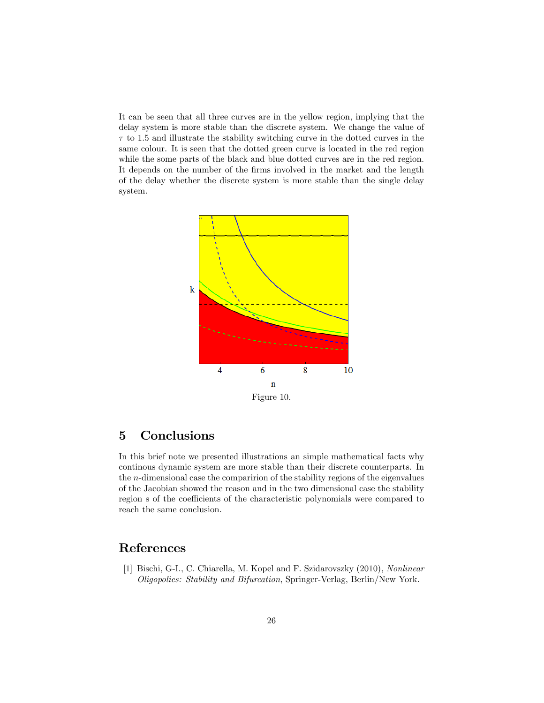It can be seen that all three curves are in the yellow region, implying that the delay system is more stable than the discrete system. We change the value of  $\tau$  to 1.5 and illustrate the stability switching curve in the dotted curves in the same colour. It is seen that the dotted green curve is located in the red region while the some parts of the black and blue dotted curves are in the red region. It depends on the number of the firms involved in the market and the length of the delay whether the discrete system is more stable than the single delay system.



# 5 Conclusions

In this brief note we presented illustrations an simple mathematical facts why continous dynamic system are more stable than their discrete counterparts. In the n-dimensional case the comparirion of the stability regions of the eigenvalues of the Jacobian showed the reason and in the two dimensional case the stability region s of the coefficients of the characteristic polynomials were compared to reach the same conclusion.

# References

[1] Bischi, G-I., C. Chiarella, M. Kopel and F. Szidarovszky (2010), Nonlinear Oligopolies: Stability and Bifurcation, Springer-Verlag, Berlin/New York.